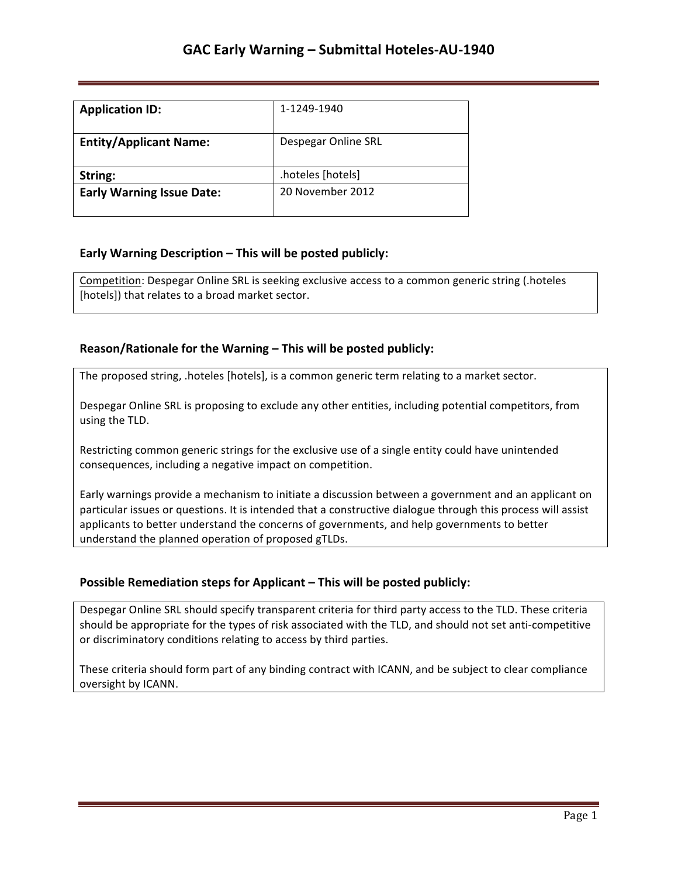| <b>Application ID:</b>           | 1-1249-1940         |
|----------------------------------|---------------------|
| <b>Entity/Applicant Name:</b>    | Despegar Online SRL |
| String:                          | .hoteles [hotels]   |
| <b>Early Warning Issue Date:</b> | 20 November 2012    |

## **Early Warning Description – This will be posted publicly:**

Competition: Despegar Online SRL is seeking exclusive access to a common generic string (.hoteles [hotels]) that relates to a broad market sector.

### **Reason/Rationale for the Warning – This will be posted publicly:**

The proposed string, .hoteles [hotels], is a common generic term relating to a market sector.

Despegar Online SRL is proposing to exclude any other entities, including potential competitors, from using the TLD.

Restricting common generic strings for the exclusive use of a single entity could have unintended consequences, including a negative impact on competition.

Early warnings provide a mechanism to initiate a discussion between a government and an applicant on particular issues or questions. It is intended that a constructive dialogue through this process will assist applicants to better understand the concerns of governments, and help governments to better understand the planned operation of proposed gTLDs.

## **Possible Remediation steps for Applicant - This will be posted publicly:**

Despegar Online SRL should specify transparent criteria for third party access to the TLD. These criteria should be appropriate for the types of risk associated with the TLD, and should not set anti-competitive or discriminatory conditions relating to access by third parties.

These criteria should form part of any binding contract with ICANN, and be subject to clear compliance oversight by ICANN.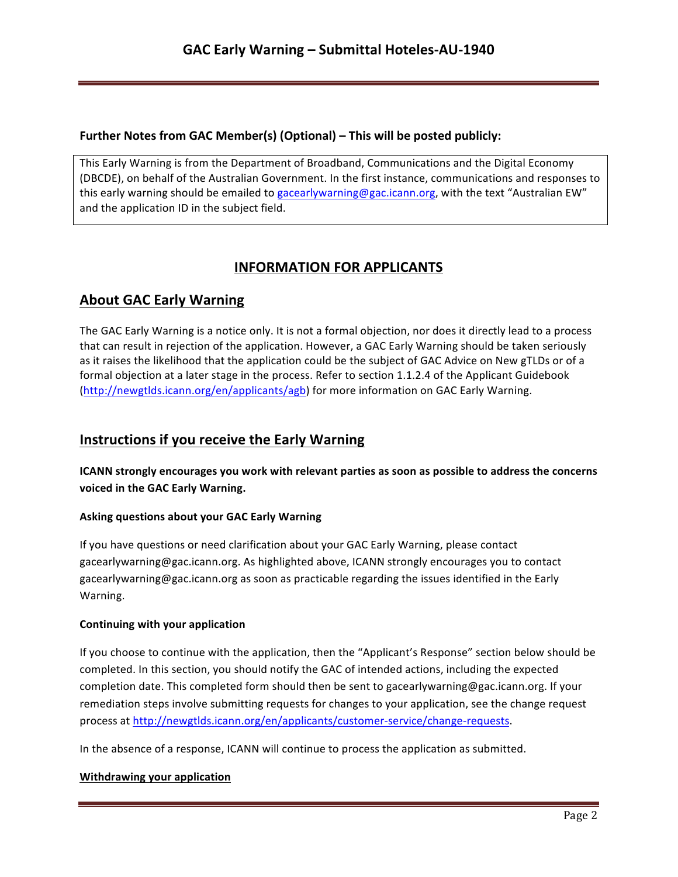### **Further Notes from GAC Member(s) (Optional) – This will be posted publicly:**

This Early Warning is from the Department of Broadband, Communications and the Digital Economy (DBCDE), on behalf of the Australian Government. In the first instance, communications and responses to this early warning should be emailed to gacearlywarning@gac.icann.org, with the text "Australian EW" and the application ID in the subject field.

# **INFORMATION FOR APPLICANTS**

# **About GAC Early Warning**

The GAC Early Warning is a notice only. It is not a formal objection, nor does it directly lead to a process that can result in rejection of the application. However, a GAC Early Warning should be taken seriously as it raises the likelihood that the application could be the subject of GAC Advice on New gTLDs or of a formal objection at a later stage in the process. Refer to section 1.1.2.4 of the Applicant Guidebook (http://newgtlds.icann.org/en/applicants/agb) for more information on GAC Early Warning.

# **Instructions if you receive the Early Warning**

**ICANN** strongly encourages you work with relevant parties as soon as possible to address the concerns voiced in the GAC Early Warning.

### **Asking questions about your GAC Early Warning**

If you have questions or need clarification about your GAC Early Warning, please contact gacearlywarning@gac.icann.org. As highlighted above, ICANN strongly encourages you to contact gacearlywarning@gac.icann.org as soon as practicable regarding the issues identified in the Early Warning. 

### **Continuing with your application**

If you choose to continue with the application, then the "Applicant's Response" section below should be completed. In this section, you should notify the GAC of intended actions, including the expected completion date. This completed form should then be sent to gacearlywarning@gac.icann.org. If your remediation steps involve submitting requests for changes to your application, see the change request process at http://newgtlds.icann.org/en/applicants/customer-service/change-requests.

In the absence of a response, ICANN will continue to process the application as submitted.

### **Withdrawing your application**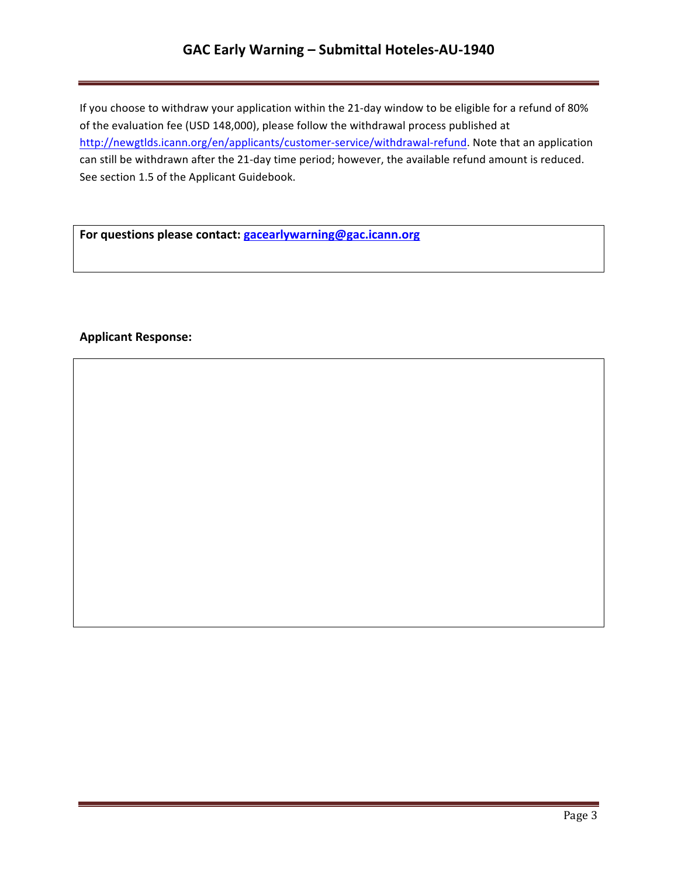# GAC Early Warning - Submittal Hoteles-AU-1940

If you choose to withdraw your application within the 21-day window to be eligible for a refund of 80% of the evaluation fee (USD 148,000), please follow the withdrawal process published at http://newgtlds.icann.org/en/applicants/customer-service/withdrawal-refund. Note that an application can still be withdrawn after the 21-day time period; however, the available refund amount is reduced. See section 1.5 of the Applicant Guidebook.

For questions please contact: **gacearlywarning@gac.icann.org** 

### **Applicant Response:**